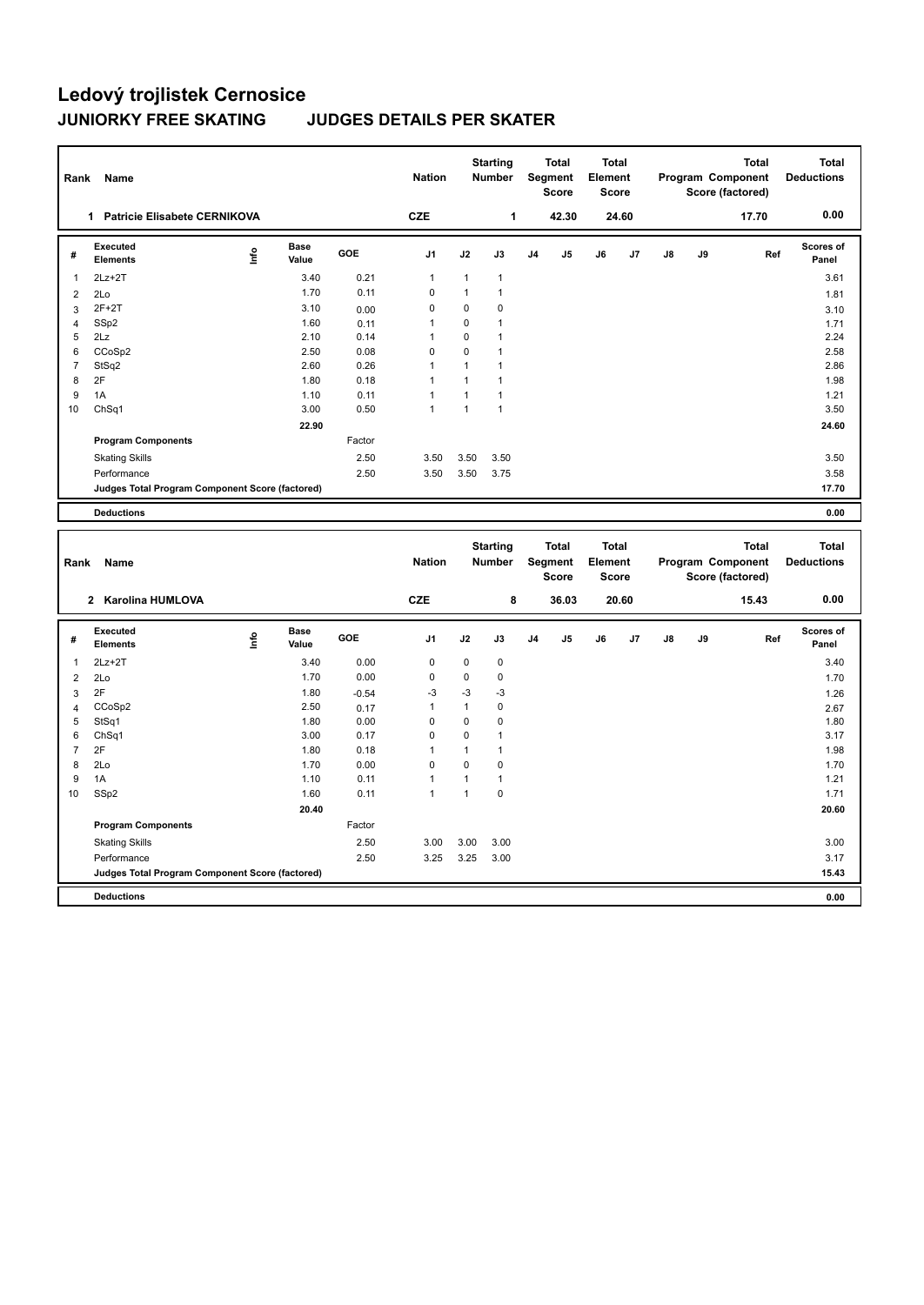| Rank           | Name                                            |      |                      |        | <b>Nation</b>  |              | <b>Starting</b><br><b>Number</b> | <b>Total</b><br>Segment<br><b>Score</b> |                | <b>Total</b><br>Element<br><b>Score</b> |    |    |    | <b>Total</b><br>Program Component<br>Score (factored) | <b>Total</b><br><b>Deductions</b> |
|----------------|-------------------------------------------------|------|----------------------|--------|----------------|--------------|----------------------------------|-----------------------------------------|----------------|-----------------------------------------|----|----|----|-------------------------------------------------------|-----------------------------------|
|                | Patricie Elisabete CERNIKOVA<br>1               |      |                      |        | <b>CZE</b>     |              | 1                                |                                         | 42.30          | 24.60                                   |    |    |    | 17.70                                                 | 0.00                              |
| #              | Executed<br><b>Elements</b>                     | lnfo | <b>Base</b><br>Value | GOE    | J <sub>1</sub> | J2           | J3                               | J <sub>4</sub>                          | J <sub>5</sub> | J6                                      | J7 | J8 | J9 | Ref                                                   | Scores of<br>Panel                |
| $\mathbf{1}$   | $2Lz+2T$                                        |      | 3.40                 | 0.21   | $\mathbf{1}$   | $\mathbf{1}$ | 1                                |                                         |                |                                         |    |    |    |                                                       | 3.61                              |
| 2              | 2Lo                                             |      | 1.70                 | 0.11   | 0              | $\mathbf{1}$ | $\mathbf{1}$                     |                                         |                |                                         |    |    |    |                                                       | 1.81                              |
| 3              | $2F+2T$                                         |      | 3.10                 | 0.00   | $\mathbf 0$    | 0            | 0                                |                                         |                |                                         |    |    |    |                                                       | 3.10                              |
| $\overline{4}$ | SSp2                                            |      | 1.60                 | 0.11   | -1             | $\mathbf 0$  | 1                                |                                         |                |                                         |    |    |    |                                                       | 1.71                              |
| 5              | 2Lz                                             |      | 2.10                 | 0.14   | -1             | $\Omega$     | 1                                |                                         |                |                                         |    |    |    |                                                       | 2.24                              |
| 6              | CCoSp2                                          |      | 2.50                 | 0.08   | $\mathbf 0$    | $\mathbf 0$  | 1                                |                                         |                |                                         |    |    |    |                                                       | 2.58                              |
| $\overline{7}$ | StSq2                                           |      | 2.60                 | 0.26   | $\overline{1}$ | 1            | 1                                |                                         |                |                                         |    |    |    |                                                       | 2.86                              |
| 8              | 2F                                              |      | 1.80                 | 0.18   | -1             | 1            | 1                                |                                         |                |                                         |    |    |    |                                                       | 1.98                              |
| 9              | 1A                                              |      | 1.10                 | 0.11   | $\overline{1}$ | $\mathbf{1}$ | 1                                |                                         |                |                                         |    |    |    |                                                       | 1.21                              |
| 10             | ChSq1                                           |      | 3.00                 | 0.50   | $\mathbf{1}$   | $\mathbf{1}$ | 1                                |                                         |                |                                         |    |    |    |                                                       | 3.50                              |
|                |                                                 |      | 22.90                |        |                |              |                                  |                                         |                |                                         |    |    |    |                                                       | 24.60                             |
|                | <b>Program Components</b>                       |      |                      | Factor |                |              |                                  |                                         |                |                                         |    |    |    |                                                       |                                   |
|                | <b>Skating Skills</b>                           |      |                      | 2.50   | 3.50           | 3.50         | 3.50                             |                                         |                |                                         |    |    |    |                                                       | 3.50                              |
|                | Performance                                     |      |                      | 2.50   | 3.50           | 3.50         | 3.75                             |                                         |                |                                         |    |    |    |                                                       | 3.58                              |
|                | Judges Total Program Component Score (factored) |      |                      |        |                |              |                                  |                                         |                |                                         |    |    |    |                                                       | 17.70                             |
|                | <b>Deductions</b>                               |      |                      |        |                |              |                                  |                                         |                |                                         |    |    |    |                                                       | 0.00                              |
|                |                                                 |      |                      |        |                |              |                                  |                                         |                |                                         |    |    |    |                                                       |                                   |
| Rank           | Name                                            |      |                      |        | <b>Nation</b>  |              | <b>Starting</b><br><b>Number</b> | <b>Total</b><br>Segment                 |                | <b>Total</b><br>Element                 |    |    |    | <b>Total</b><br>Program Component                     | Total<br><b>Deductions</b>        |

|                | Name<br>Rank                                    |      |                      |         | Nation<br>Number<br>Segment |             |             |                | Score          | Element<br><b>Score</b> |       |               |    | Program Component<br>Score (factored) | <b>Deductions</b>  |
|----------------|-------------------------------------------------|------|----------------------|---------|-----------------------------|-------------|-------------|----------------|----------------|-------------------------|-------|---------------|----|---------------------------------------|--------------------|
|                | 2 Karolina HUMLOVA                              |      |                      |         | <b>CZE</b>                  |             | 8           |                | 36.03          |                         | 20.60 |               |    | 15.43                                 | 0.00               |
| #              | Executed<br><b>Elements</b>                     | lnfo | <b>Base</b><br>Value | GOE     | J1                          | J2          | J3          | J <sub>4</sub> | J <sub>5</sub> | J6                      | J7    | $\mathsf{J}8$ | J9 | Ref                                   | Scores of<br>Panel |
| 1              | $2Lz + 2T$                                      |      | 3.40                 | 0.00    | 0                           | $\mathbf 0$ | $\mathbf 0$ |                |                |                         |       |               |    |                                       | 3.40               |
| 2              | 2Lo                                             |      | 1.70                 | 0.00    | 0                           | 0           | 0           |                |                |                         |       |               |    |                                       | 1.70               |
| 3              | 2F                                              |      | 1.80                 | $-0.54$ | $-3$                        | $-3$        | -3          |                |                |                         |       |               |    |                                       | 1.26               |
| 4              | CCoSp2                                          |      | 2.50                 | 0.17    |                             | 1           | 0           |                |                |                         |       |               |    |                                       | 2.67               |
| 5              | StSq1                                           |      | 1.80                 | 0.00    | 0                           | 0           | 0           |                |                |                         |       |               |    |                                       | 1.80               |
| 6              | ChSq1                                           |      | 3.00                 | 0.17    | 0                           | $\mathbf 0$ |             |                |                |                         |       |               |    |                                       | 3.17               |
| $\overline{7}$ | 2F                                              |      | 1.80                 | 0.18    | 1                           | 1           |             |                |                |                         |       |               |    |                                       | 1.98               |
| 8              | 2Lo                                             |      | 1.70                 | 0.00    | 0                           | 0           | 0           |                |                |                         |       |               |    |                                       | 1.70               |
| 9              | 1A                                              |      | 1.10                 | 0.11    |                             | 1           |             |                |                |                         |       |               |    |                                       | 1.21               |
| 10             | SSp2                                            |      | 1.60                 | 0.11    | 1                           | 1           | 0           |                |                |                         |       |               |    |                                       | 1.71               |
|                |                                                 |      | 20.40                |         |                             |             |             |                |                |                         |       |               |    |                                       | 20.60              |
|                | <b>Program Components</b>                       |      |                      | Factor  |                             |             |             |                |                |                         |       |               |    |                                       |                    |
|                | <b>Skating Skills</b>                           |      |                      | 2.50    | 3.00                        | 3.00        | 3.00        |                |                |                         |       |               |    |                                       | 3.00               |
|                | Performance                                     |      |                      | 2.50    | 3.25                        | 3.25        | 3.00        |                |                |                         |       |               |    |                                       | 3.17               |
|                | Judges Total Program Component Score (factored) |      |                      |         |                             |             |             |                |                |                         |       |               |    |                                       | 15.43              |
|                | <b>Deductions</b>                               |      |                      |         |                             |             |             |                |                |                         |       |               |    |                                       | 0.00               |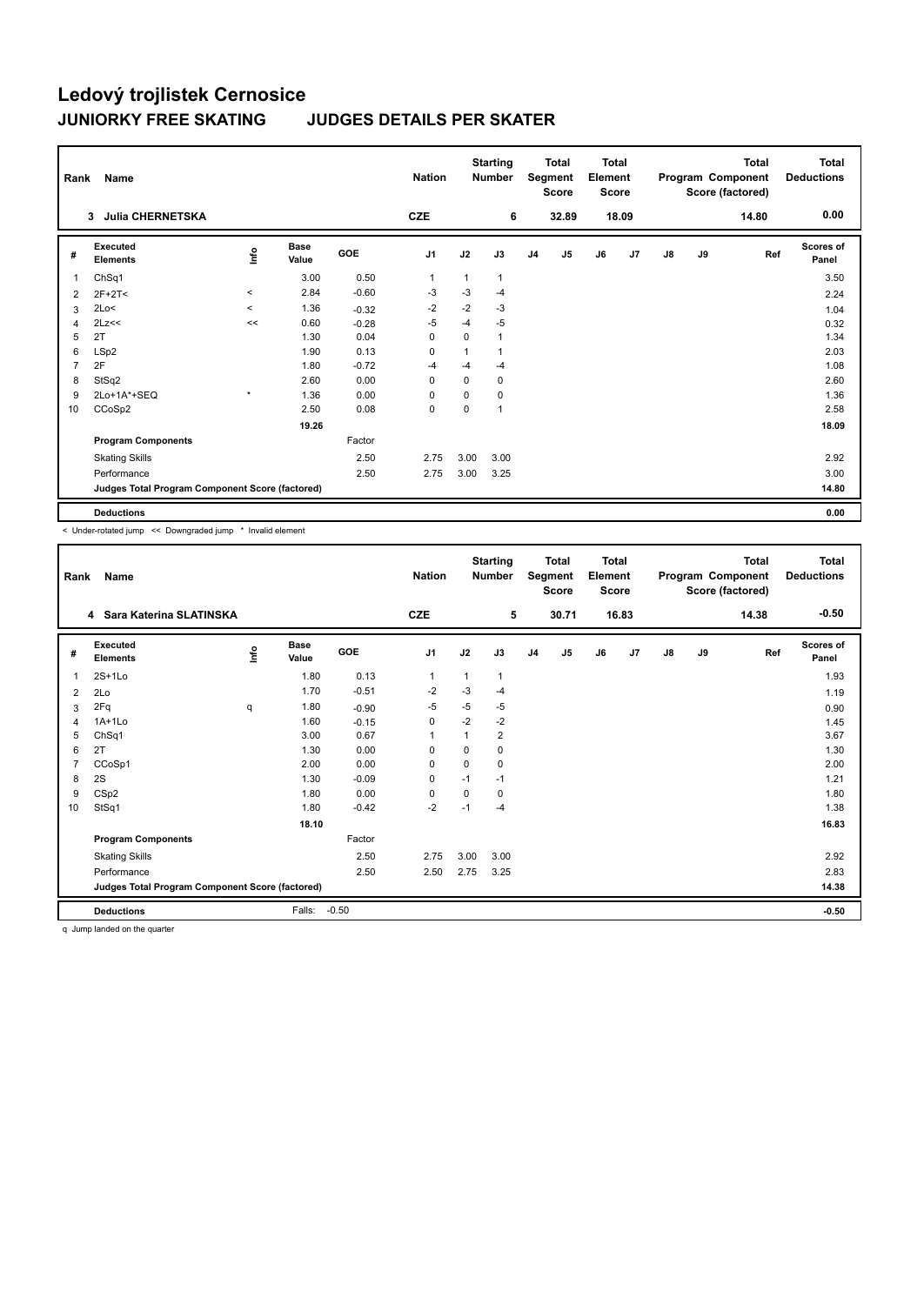| Rank           | Name                                            |         |                      |         | <b>Nation</b> |          | <b>Starting</b><br><b>Number</b> |                | <b>Total</b><br>Segment<br><b>Score</b> | <b>Total</b><br>Element<br><b>Score</b> |       |               |    | <b>Total</b><br>Program Component<br>Score (factored) | <b>Total</b><br><b>Deductions</b> |
|----------------|-------------------------------------------------|---------|----------------------|---------|---------------|----------|----------------------------------|----------------|-----------------------------------------|-----------------------------------------|-------|---------------|----|-------------------------------------------------------|-----------------------------------|
|                | <b>Julia CHERNETSKA</b><br>3                    |         |                      |         | <b>CZE</b>    |          | 6                                |                | 32.89                                   |                                         | 18.09 |               |    | 14.80                                                 | 0.00                              |
| #              | Executed<br><b>Elements</b>                     | lnfo    | <b>Base</b><br>Value | GOE     | J1            | J2       | J3                               | J <sub>4</sub> | J <sub>5</sub>                          | J6                                      | J7    | $\mathsf{J}8$ | J9 | Ref                                                   | <b>Scores of</b><br>Panel         |
| 1              | ChSq1                                           |         | 3.00                 | 0.50    | 1             | 1        | $\mathbf 1$                      |                |                                         |                                         |       |               |    |                                                       | 3.50                              |
| 2              | $2F+2T<$                                        | $\,<\,$ | 2.84                 | $-0.60$ | $-3$          | $-3$     | $-4$                             |                |                                         |                                         |       |               |    |                                                       | 2.24                              |
| 3              | 2Lo<                                            | $\prec$ | 1.36                 | $-0.32$ | $-2$          | $-2$     | $-3$                             |                |                                         |                                         |       |               |    |                                                       | 1.04                              |
| 4              | 2Lz<<                                           | <<      | 0.60                 | $-0.28$ | $-5$          | $-4$     | $-5$                             |                |                                         |                                         |       |               |    |                                                       | 0.32                              |
| 5              | 2T                                              |         | 1.30                 | 0.04    | $\Omega$      | $\Omega$ | $\overline{1}$                   |                |                                         |                                         |       |               |    |                                                       | 1.34                              |
| 6              | LSp2                                            |         | 1.90                 | 0.13    | 0             | 1        |                                  |                |                                         |                                         |       |               |    |                                                       | 2.03                              |
| $\overline{7}$ | 2F                                              |         | 1.80                 | $-0.72$ | $-4$          | $-4$     | -4                               |                |                                         |                                         |       |               |    |                                                       | 1.08                              |
| 8              | StSq2                                           |         | 2.60                 | 0.00    | $\Omega$      | $\Omega$ | 0                                |                |                                         |                                         |       |               |    |                                                       | 2.60                              |
| 9              | 2Lo+1A*+SEQ                                     | $\star$ | 1.36                 | 0.00    | 0             | $\Omega$ | 0                                |                |                                         |                                         |       |               |    |                                                       | 1.36                              |
| 10             | CCoSp2                                          |         | 2.50                 | 0.08    | 0             | 0        | 1                                |                |                                         |                                         |       |               |    |                                                       | 2.58                              |
|                |                                                 |         | 19.26                |         |               |          |                                  |                |                                         |                                         |       |               |    |                                                       | 18.09                             |
|                | <b>Program Components</b>                       |         |                      | Factor  |               |          |                                  |                |                                         |                                         |       |               |    |                                                       |                                   |
|                | <b>Skating Skills</b>                           |         |                      | 2.50    | 2.75          | 3.00     | 3.00                             |                |                                         |                                         |       |               |    |                                                       | 2.92                              |
|                | Performance                                     |         |                      | 2.50    | 2.75          | 3.00     | 3.25                             |                |                                         |                                         |       |               |    |                                                       | 3.00                              |
|                | Judges Total Program Component Score (factored) |         |                      |         |               |          |                                  |                |                                         |                                         |       |               |    |                                                       | 14.80                             |
|                | <b>Deductions</b>                               |         |                      |         |               |          |                                  |                |                                         |                                         |       |               |    |                                                       | 0.00                              |

< Under-rotated jump << Downgraded jump \* Invalid element

| Rank | Name                                            |      |                      |         | <b>Nation</b> |             | <b>Starting</b><br><b>Number</b> |                | <b>Total</b><br>Segment<br>Score | <b>Total</b><br>Element<br><b>Score</b> |       |    |    | <b>Total</b><br>Program Component<br>Score (factored) | <b>Total</b><br><b>Deductions</b> |
|------|-------------------------------------------------|------|----------------------|---------|---------------|-------------|----------------------------------|----------------|----------------------------------|-----------------------------------------|-------|----|----|-------------------------------------------------------|-----------------------------------|
|      | 4 Sara Katerina SLATINSKA                       |      |                      |         | <b>CZE</b>    |             | 5                                |                | 30.71                            |                                         | 16.83 |    |    | 14.38                                                 | $-0.50$                           |
| #    | Executed<br><b>Elements</b>                     | ١nfo | <b>Base</b><br>Value | GOE     | J1            | J2          | J3                               | J <sub>4</sub> | J5                               | J6                                      | J7    | J8 | J9 | Ref                                                   | <b>Scores of</b><br>Panel         |
| 1    | $2S+1Lo$                                        |      | 1.80                 | 0.13    | 1             | $\mathbf 1$ | 1                                |                |                                  |                                         |       |    |    |                                                       | 1.93                              |
| 2    | 2Lo                                             |      | 1.70                 | $-0.51$ | $-2$          | $-3$        | -4                               |                |                                  |                                         |       |    |    |                                                       | 1.19                              |
| 3    | 2Fq                                             | q    | 1.80                 | $-0.90$ | $-5$          | $-5$        | -5                               |                |                                  |                                         |       |    |    |                                                       | 0.90                              |
| 4    | $1A+1L0$                                        |      | 1.60                 | $-0.15$ | 0             | $-2$        | $-2$                             |                |                                  |                                         |       |    |    |                                                       | 1.45                              |
| 5    | ChSq1                                           |      | 3.00                 | 0.67    |               | 1           | $\overline{2}$                   |                |                                  |                                         |       |    |    |                                                       | 3.67                              |
| 6    | 2T                                              |      | 1.30                 | 0.00    | $\Omega$      | $\Omega$    | 0                                |                |                                  |                                         |       |    |    |                                                       | 1.30                              |
| 7    | CCoSp1                                          |      | 2.00                 | 0.00    | $\Omega$      | 0           | 0                                |                |                                  |                                         |       |    |    |                                                       | 2.00                              |
| 8    | 2S                                              |      | 1.30                 | $-0.09$ | 0             | $-1$        | $-1$                             |                |                                  |                                         |       |    |    |                                                       | 1.21                              |
| 9    | CSp2                                            |      | 1.80                 | 0.00    | 0             | 0           | 0                                |                |                                  |                                         |       |    |    |                                                       | 1.80                              |
| 10   | StSq1                                           |      | 1.80                 | $-0.42$ | $-2$          | $-1$        | $-4$                             |                |                                  |                                         |       |    |    |                                                       | 1.38                              |
|      |                                                 |      | 18.10                |         |               |             |                                  |                |                                  |                                         |       |    |    |                                                       | 16.83                             |
|      | <b>Program Components</b>                       |      |                      | Factor  |               |             |                                  |                |                                  |                                         |       |    |    |                                                       |                                   |
|      | <b>Skating Skills</b>                           |      |                      | 2.50    | 2.75          | 3.00        | 3.00                             |                |                                  |                                         |       |    |    |                                                       | 2.92                              |
|      | Performance                                     |      |                      | 2.50    | 2.50          | 2.75        | 3.25                             |                |                                  |                                         |       |    |    |                                                       | 2.83                              |
|      | Judges Total Program Component Score (factored) |      |                      |         |               |             |                                  |                |                                  |                                         |       |    |    |                                                       | 14.38                             |
|      | <b>Deductions</b>                               |      | Falls:               | $-0.50$ |               |             |                                  |                |                                  |                                         |       |    |    |                                                       | $-0.50$                           |

q Jump landed on the quarter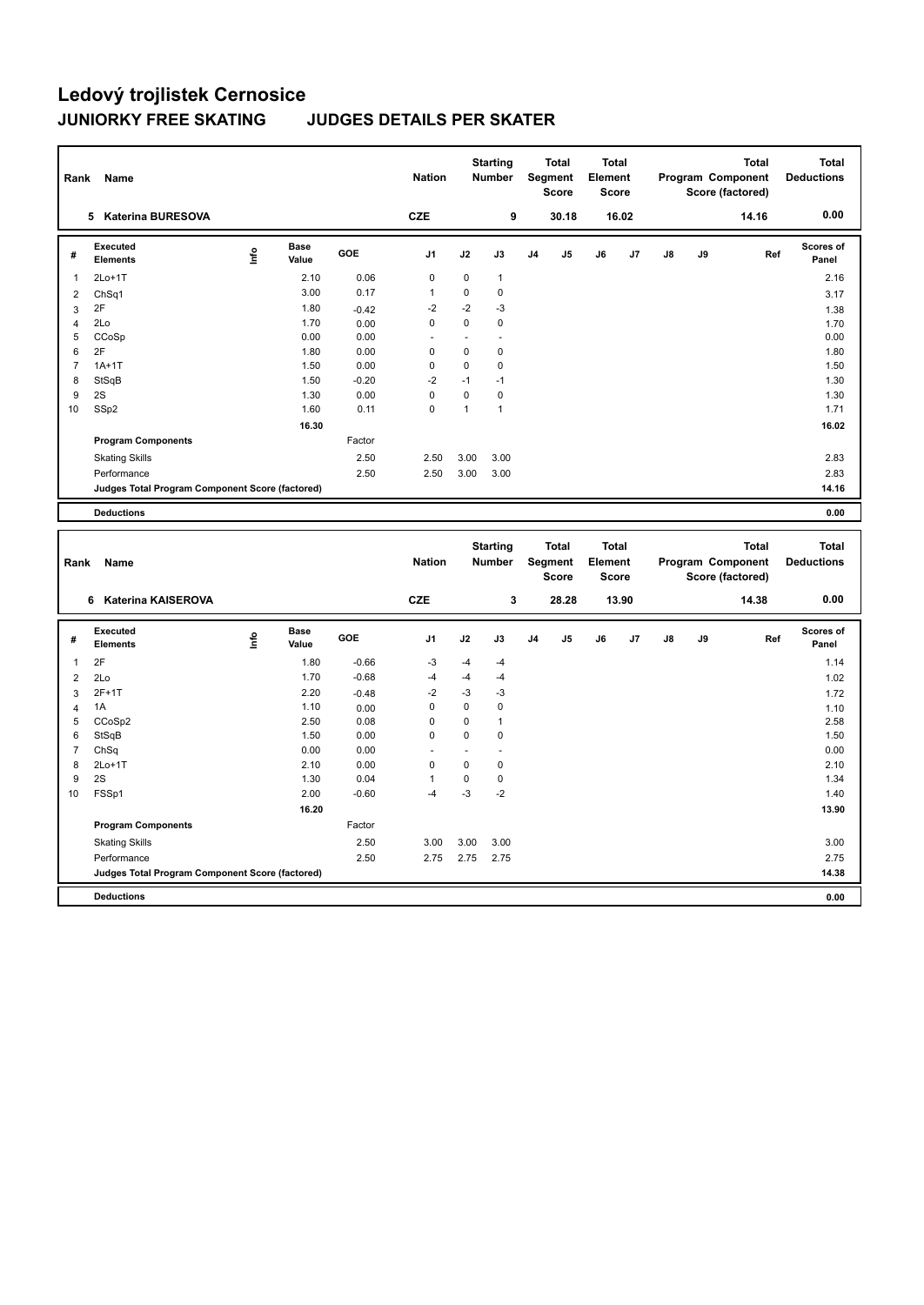| Rank           | Name                                            |      |               |            | <b>Nation</b>  | <b>Starting</b><br><b>Total</b><br><b>Number</b><br>Segment<br><b>Score</b> |                | <b>Total</b><br>Element<br><b>Score</b> |                | Program Component |       | <b>Total</b><br>Score (factored) | <b>Total</b><br><b>Deductions</b> |       |                    |
|----------------|-------------------------------------------------|------|---------------|------------|----------------|-----------------------------------------------------------------------------|----------------|-----------------------------------------|----------------|-------------------|-------|----------------------------------|-----------------------------------|-------|--------------------|
|                | <b>Katerina BURESOVA</b><br>5.                  |      |               |            | <b>CZE</b>     |                                                                             | 9              |                                         | 30.18          |                   | 16.02 |                                  |                                   | 14.16 | 0.00               |
| #              | Executed<br><b>Elements</b>                     | ١nf٥ | Base<br>Value | <b>GOE</b> | J <sub>1</sub> | J2                                                                          | J3             | J <sub>4</sub>                          | J <sub>5</sub> | J6                | J7    | J8                               | J9                                | Ref   | Scores of<br>Panel |
| 1              | $2Lo+1T$                                        |      | 2.10          | 0.06       | 0              | $\mathbf 0$                                                                 | $\mathbf{1}$   |                                         |                |                   |       |                                  |                                   |       | 2.16               |
| 2              | ChSq1                                           |      | 3.00          | 0.17       | $\overline{1}$ | 0                                                                           | 0              |                                         |                |                   |       |                                  |                                   |       | 3.17               |
| 3              | 2F                                              |      | 1.80          | $-0.42$    | $-2$           | $-2$                                                                        | $-3$           |                                         |                |                   |       |                                  |                                   |       | 1.38               |
| $\overline{4}$ | 2Lo                                             |      | 1.70          | 0.00       | 0              | 0                                                                           | 0              |                                         |                |                   |       |                                  |                                   |       | 1.70               |
| 5              | CCoSp                                           |      | 0.00          | 0.00       | ٠              | ٠                                                                           | $\overline{a}$ |                                         |                |                   |       |                                  |                                   |       | 0.00               |
| 6              | 2F                                              |      | 1.80          | 0.00       | $\mathbf 0$    | $\mathbf 0$                                                                 | 0              |                                         |                |                   |       |                                  |                                   |       | 1.80               |
| $\overline{7}$ | $1A+1T$                                         |      | 1.50          | 0.00       | $\mathbf 0$    | 0                                                                           | 0              |                                         |                |                   |       |                                  |                                   |       | 1.50               |
| 8              | StSqB                                           |      | 1.50          | $-0.20$    | $-2$           | $-1$                                                                        | $-1$           |                                         |                |                   |       |                                  |                                   |       | 1.30               |
| 9              | 2S                                              |      | 1.30          | 0.00       | 0              | $\Omega$                                                                    | 0              |                                         |                |                   |       |                                  |                                   |       | 1.30               |
| 10             | SSp2                                            |      | 1.60          | 0.11       | $\mathbf 0$    | $\mathbf{1}$                                                                | 1              |                                         |                |                   |       |                                  |                                   |       | 1.71               |
|                |                                                 |      | 16.30         |            |                |                                                                             |                |                                         |                |                   |       |                                  |                                   |       | 16.02              |
|                | <b>Program Components</b>                       |      |               | Factor     |                |                                                                             |                |                                         |                |                   |       |                                  |                                   |       |                    |
|                | <b>Skating Skills</b>                           |      |               | 2.50       | 2.50           | 3.00                                                                        | 3.00           |                                         |                |                   |       |                                  |                                   |       | 2.83               |
|                | Performance                                     |      |               | 2.50       | 2.50           | 3.00                                                                        | 3.00           |                                         |                |                   |       |                                  |                                   |       | 2.83               |
|                | Judges Total Program Component Score (factored) |      |               |            |                |                                                                             |                |                                         |                |                   |       |                                  |                                   |       | 14.16              |
|                | <b>Deductions</b>                               |      |               |            |                |                                                                             |                |                                         |                |                   |       |                                  |                                   |       | 0.00               |

| Rank           | Name                                            |      |                      | <b>Nation</b> |                          | <b>Starting</b><br><b>Number</b> | <b>Total</b><br>Segment<br><b>Score</b> |                | <b>Total</b><br>Element<br><b>Score</b> |    | <b>Total</b><br>Program Component<br>Score (factored) |               |    | <b>Total</b><br><b>Deductions</b> |                    |
|----------------|-------------------------------------------------|------|----------------------|---------------|--------------------------|----------------------------------|-----------------------------------------|----------------|-----------------------------------------|----|-------------------------------------------------------|---------------|----|-----------------------------------|--------------------|
|                | Katerina KAISEROVA<br>6                         |      |                      |               | <b>CZE</b>               |                                  | 3                                       |                | 28.28                                   |    | 13.90                                                 |               |    | 14.38                             | 0.00               |
| #              | Executed<br><b>Elements</b>                     | lnfo | <b>Base</b><br>Value | <b>GOE</b>    | J <sub>1</sub>           | J2                               | J3                                      | J <sub>4</sub> | J <sub>5</sub>                          | J6 | J <sub>7</sub>                                        | $\mathsf{J}8$ | J9 | Ref                               | Scores of<br>Panel |
| 1              | 2F                                              |      | 1.80                 | $-0.66$       | $-3$                     | $-4$                             | $-4$                                    |                |                                         |    |                                                       |               |    |                                   | 1.14               |
| 2              | 2Lo                                             |      | 1.70                 | $-0.68$       | $-4$                     | $-4$                             | -4                                      |                |                                         |    |                                                       |               |    |                                   | 1.02               |
| 3              | 2F+1T                                           |      | 2.20                 | $-0.48$       | $-2$                     | $-3$                             | $-3$                                    |                |                                         |    |                                                       |               |    |                                   | 1.72               |
| 4              | 1A                                              |      | 1.10                 | 0.00          | 0                        | $\Omega$                         | 0                                       |                |                                         |    |                                                       |               |    |                                   | 1.10               |
| 5              | CCoSp2                                          |      | 2.50                 | 0.08          | 0                        | $\mathbf 0$                      | $\overline{1}$                          |                |                                         |    |                                                       |               |    |                                   | 2.58               |
| 6              | StSqB                                           |      | 1.50                 | 0.00          | 0                        | $\mathbf 0$                      | $\mathbf 0$                             |                |                                         |    |                                                       |               |    |                                   | 1.50               |
| $\overline{7}$ | ChSq                                            |      | 0.00                 | 0.00          | $\overline{\phantom{a}}$ | ٠                                |                                         |                |                                         |    |                                                       |               |    |                                   | 0.00               |
| 8              | $2Lo+1T$                                        |      | 2.10                 | 0.00          | 0                        | 0                                | 0                                       |                |                                         |    |                                                       |               |    |                                   | 2.10               |
| 9              | 2S                                              |      | 1.30                 | 0.04          |                          | 0                                | 0                                       |                |                                         |    |                                                       |               |    |                                   | 1.34               |
| 10             | FSSp1                                           |      | 2.00                 | $-0.60$       | $-4$                     | $-3$                             | $-2$                                    |                |                                         |    |                                                       |               |    |                                   | 1.40               |
|                |                                                 |      | 16.20                |               |                          |                                  |                                         |                |                                         |    |                                                       |               |    |                                   | 13.90              |
|                | <b>Program Components</b>                       |      |                      | Factor        |                          |                                  |                                         |                |                                         |    |                                                       |               |    |                                   |                    |
|                | <b>Skating Skills</b>                           |      |                      | 2.50          | 3.00                     | 3.00                             | 3.00                                    |                |                                         |    |                                                       |               |    |                                   | 3.00               |
|                | Performance                                     |      |                      | 2.50          | 2.75                     | 2.75                             | 2.75                                    |                |                                         |    |                                                       |               |    |                                   | 2.75               |
|                | Judges Total Program Component Score (factored) |      |                      |               |                          |                                  |                                         |                |                                         |    |                                                       |               |    |                                   | 14.38              |
|                | <b>Deductions</b>                               |      |                      |               |                          |                                  |                                         |                |                                         |    |                                                       |               |    |                                   | 0.00               |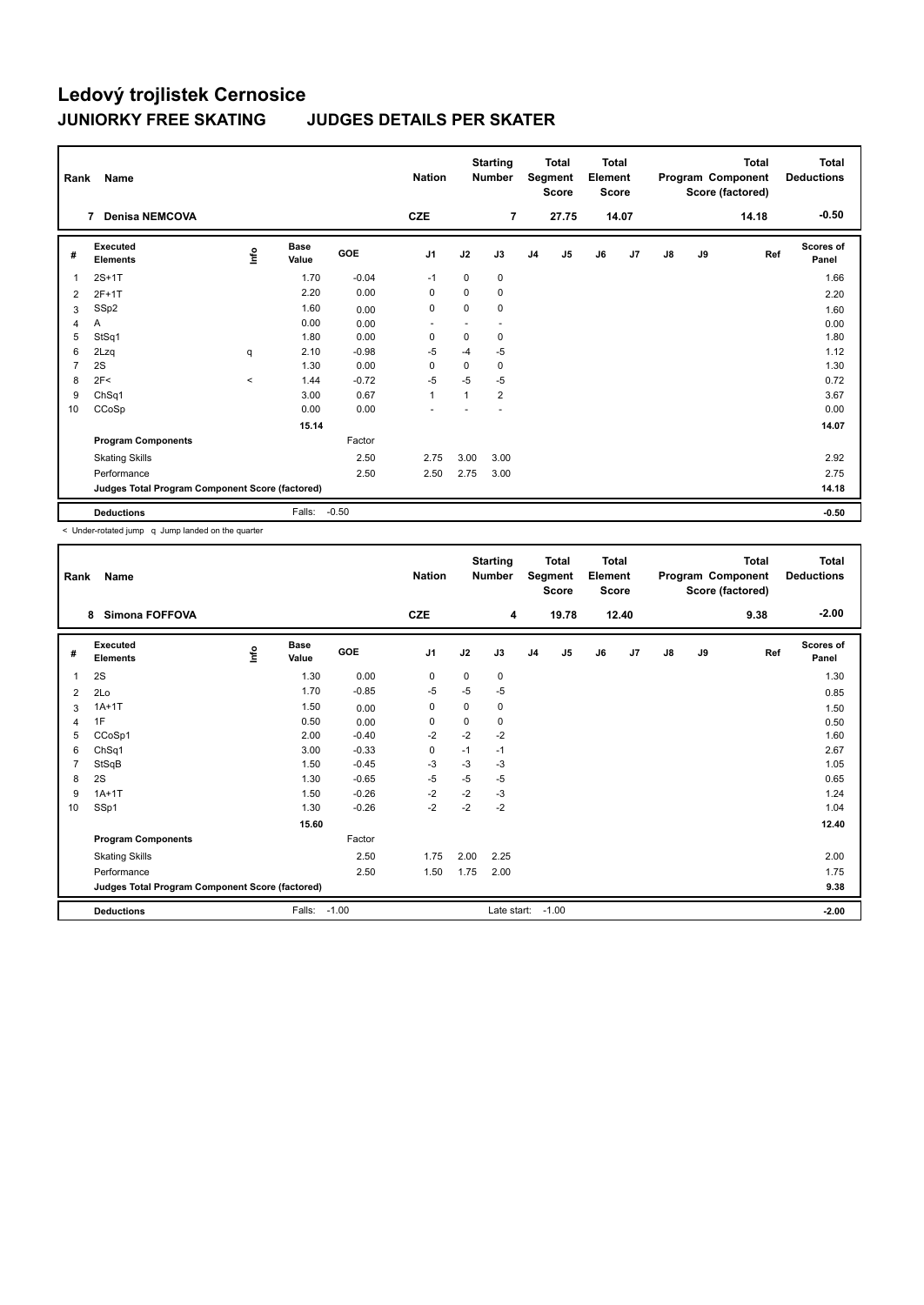| Rank           | Name                                            |                                  |                      |         | <b>Nation</b>  |      | <b>Starting</b><br><b>Total</b><br>Segment<br><b>Number</b><br>Score |                | <b>Total</b><br>Element<br><b>Score</b> |    | Program Component |               | Total<br>Score (factored) | <b>Total</b><br><b>Deductions</b> |                           |
|----------------|-------------------------------------------------|----------------------------------|----------------------|---------|----------------|------|----------------------------------------------------------------------|----------------|-----------------------------------------|----|-------------------|---------------|---------------------------|-----------------------------------|---------------------------|
|                | <b>Denisa NEMCOVA</b><br>7                      |                                  |                      |         | <b>CZE</b>     |      | $\overline{7}$                                                       |                | 27.75                                   |    | 14.07             |               |                           | 14.18                             | $-0.50$                   |
| #              | Executed<br><b>Elements</b>                     | $\mathop{\mathsf{Irr}}\nolimits$ | <b>Base</b><br>Value | GOE     | J <sub>1</sub> | J2   | J3                                                                   | J <sub>4</sub> | J5                                      | J6 | J7                | $\mathsf{J}8$ | J9                        | Ref                               | <b>Scores of</b><br>Panel |
| $\overline{1}$ | $2S+1T$                                         |                                  | 1.70                 | $-0.04$ | $-1$           | 0    | 0                                                                    |                |                                         |    |                   |               |                           |                                   | 1.66                      |
| 2              | $2F+1T$                                         |                                  | 2.20                 | 0.00    | 0              | 0    | 0                                                                    |                |                                         |    |                   |               |                           |                                   | 2.20                      |
| 3              | SSp2                                            |                                  | 1.60                 | 0.00    | 0              | 0    | 0                                                                    |                |                                         |    |                   |               |                           |                                   | 1.60                      |
| 4              | Α                                               |                                  | 0.00                 | 0.00    |                |      |                                                                      |                |                                         |    |                   |               |                           |                                   | 0.00                      |
| 5              | StSq1                                           |                                  | 1.80                 | 0.00    | 0              | 0    | 0                                                                    |                |                                         |    |                   |               |                           |                                   | 1.80                      |
| 6              | 2Lzq                                            | q                                | 2.10                 | $-0.98$ | -5             | $-4$ | $-5$                                                                 |                |                                         |    |                   |               |                           |                                   | 1.12                      |
| $\overline{7}$ | 2S                                              |                                  | 1.30                 | 0.00    | 0              | 0    | 0                                                                    |                |                                         |    |                   |               |                           |                                   | 1.30                      |
| 8              | 2F<                                             | $\,<\,$                          | 1.44                 | $-0.72$ | $-5$           | $-5$ | $-5$                                                                 |                |                                         |    |                   |               |                           |                                   | 0.72                      |
| 9              | ChSq1                                           |                                  | 3.00                 | 0.67    | $\mathbf{1}$   | 1    | $\overline{2}$                                                       |                |                                         |    |                   |               |                           |                                   | 3.67                      |
| 10             | CCoSp                                           |                                  | 0.00                 | 0.00    |                |      |                                                                      |                |                                         |    |                   |               |                           |                                   | 0.00                      |
|                |                                                 |                                  | 15.14                |         |                |      |                                                                      |                |                                         |    |                   |               |                           |                                   | 14.07                     |
|                | <b>Program Components</b>                       |                                  |                      | Factor  |                |      |                                                                      |                |                                         |    |                   |               |                           |                                   |                           |
|                | <b>Skating Skills</b>                           |                                  |                      | 2.50    | 2.75           | 3.00 | 3.00                                                                 |                |                                         |    |                   |               |                           |                                   | 2.92                      |
|                | Performance                                     |                                  |                      | 2.50    | 2.50           | 2.75 | 3.00                                                                 |                |                                         |    |                   |               |                           |                                   | 2.75                      |
|                | Judges Total Program Component Score (factored) |                                  |                      |         |                |      |                                                                      |                |                                         |    |                   |               |                           |                                   | 14.18                     |
|                | <b>Deductions</b>                               |                                  | Falls:               | $-0.50$ |                |      |                                                                      |                |                                         |    |                   |               |                           |                                   | $-0.50$                   |

< Under-rotated jump q Jump landed on the quarter

| Rank           | Name                                            |   |                      |            | <b>Nation</b>  |             | <b>Starting</b><br><b>Number</b> | <b>Total</b><br>Segment<br><b>Score</b> |         | <b>Total</b><br>Element<br><b>Score</b> |       |               |    | <b>Total</b><br>Program Component<br>Score (factored) | <b>Total</b><br><b>Deductions</b> |
|----------------|-------------------------------------------------|---|----------------------|------------|----------------|-------------|----------------------------------|-----------------------------------------|---------|-----------------------------------------|-------|---------------|----|-------------------------------------------------------|-----------------------------------|
|                | <b>Simona FOFFOVA</b><br>8                      |   |                      |            | <b>CZE</b>     |             | 4                                |                                         | 19.78   |                                         | 12.40 |               |    | 9.38                                                  | $-2.00$                           |
| #              | Executed<br><b>Elements</b>                     | e | <b>Base</b><br>Value | <b>GOE</b> | J <sub>1</sub> | J2          | J3                               | J <sub>4</sub>                          | J5      | J6                                      | J7    | $\mathsf{J}8$ | J9 | Ref                                                   | Scores of<br>Panel                |
| 1              | 2S                                              |   | 1.30                 | 0.00       | 0              | 0           | 0                                |                                         |         |                                         |       |               |    |                                                       | 1.30                              |
| $\overline{2}$ | 2Lo                                             |   | 1.70                 | $-0.85$    | $-5$           | $-5$        | $-5$                             |                                         |         |                                         |       |               |    |                                                       | 0.85                              |
| 3              | $1A+1T$                                         |   | 1.50                 | 0.00       | 0              | 0           | 0                                |                                         |         |                                         |       |               |    |                                                       | 1.50                              |
| $\overline{4}$ | 1F                                              |   | 0.50                 | 0.00       | 0              | $\mathbf 0$ | 0                                |                                         |         |                                         |       |               |    |                                                       | 0.50                              |
| 5              | CCoSp1                                          |   | 2.00                 | $-0.40$    | $-2$           | $-2$        | $-2$                             |                                         |         |                                         |       |               |    |                                                       | 1.60                              |
| 6              | ChSq1                                           |   | 3.00                 | $-0.33$    | $\mathbf 0$    | $-1$        | $-1$                             |                                         |         |                                         |       |               |    |                                                       | 2.67                              |
| $\overline{7}$ | StSqB                                           |   | 1.50                 | $-0.45$    | $-3$           | $-3$        | $-3$                             |                                         |         |                                         |       |               |    |                                                       | 1.05                              |
| 8              | 2S                                              |   | 1.30                 | $-0.65$    | $-5$           | $-5$        | $-5$                             |                                         |         |                                         |       |               |    |                                                       | 0.65                              |
| 9              | $1A+1T$                                         |   | 1.50                 | $-0.26$    | $-2$           | $-2$        | $-3$                             |                                         |         |                                         |       |               |    |                                                       | 1.24                              |
| 10             | SSp1                                            |   | 1.30                 | $-0.26$    | $-2$           | $-2$        | $-2$                             |                                         |         |                                         |       |               |    |                                                       | 1.04                              |
|                |                                                 |   | 15.60                |            |                |             |                                  |                                         |         |                                         |       |               |    |                                                       | 12.40                             |
|                | <b>Program Components</b>                       |   |                      | Factor     |                |             |                                  |                                         |         |                                         |       |               |    |                                                       |                                   |
|                | <b>Skating Skills</b>                           |   |                      | 2.50       | 1.75           | 2.00        | 2.25                             |                                         |         |                                         |       |               |    |                                                       | 2.00                              |
|                | Performance                                     |   |                      | 2.50       | 1.50           | 1.75        | 2.00                             |                                         |         |                                         |       |               |    |                                                       | 1.75                              |
|                | Judges Total Program Component Score (factored) |   |                      |            |                |             |                                  |                                         |         |                                         |       |               |    |                                                       | 9.38                              |
|                | <b>Deductions</b>                               |   | Falls:               | $-1.00$    |                |             | Late start:                      |                                         | $-1.00$ |                                         |       |               |    |                                                       | $-2.00$                           |